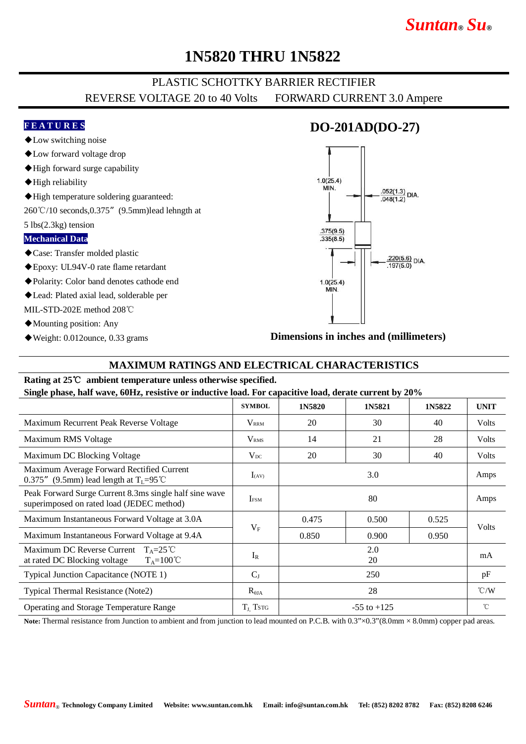# *Suntan***®** *Su***®**

## **1N5820 THRU 1N5822**

### PLASTIC SCHOTTKY BARRIER RECTIFIER REVERSE VOLTAGE 20 to 40 Volts FORWARD CURRENT 3.0 Ampere

#### **F E A T U R E S**

- ◆Low switching noise
- ◆Low forward voltage drop
- ◆High forward surge capability
- ◆High reliability
- ◆High temperature soldering guaranteed:
- 260℃/10 seconds,0.375"(9.5mm)lead lehngth at

5 lbs(2.3kg) tension

#### **Mechanical Data**

- ◆Case: Transfer molded plastic
- ◆Epoxy: UL94V-0 rate flame retardant
- ◆Polarity: Color band denotes cathode end
- ◆Lead: Plated axial lead, solderable per
- MIL-STD-202E method 208℃
- ◆Mounting position: Any
- ◆Weight: 0.012ounce, 0.33 grams

## **DO-201AD(DO-27)**



**Dimensions in inches and (millimeters)**

#### **MAXIMUM RATINGS AND ELECTRICAL CHARACTERISTICS**

#### **Rating at 25**℃ **ambient temperature unless otherwise specified. Single phase, half wave, 60Hz, resistive or inductive load. For capacitive load, derate current by 20%**

|                                                                                                      | <b>SYMBOL</b>           | 1N5820          | 1N5821 | 1N5822 | <b>UNIT</b>        |
|------------------------------------------------------------------------------------------------------|-------------------------|-----------------|--------|--------|--------------------|
| Maximum Recurrent Peak Reverse Voltage                                                               | $V_{\rm RRM}$           | 20              | 30     | 40     | Volts              |
| Maximum RMS Voltage                                                                                  | <b>V</b> <sub>RMS</sub> | 14              | 21     | 28     | Volts              |
| Maximum DC Blocking Voltage                                                                          | $V_{DC}$                | 20              | 30     | 40     | Volts              |
| Maximum Average Forward Rectified Current<br>0.375" (9.5mm) lead length at $T_L = 95^{\circ}$ C      | $I_{(AV)}$              | 3.0             |        |        | Amps               |
| Peak Forward Surge Current 8.3ms single half sine wave<br>superimposed on rated load (JEDEC method)  | <b>IFSM</b>             | 80              |        |        | Amps               |
| Maximum Instantaneous Forward Voltage at 3.0A                                                        | $V_{F}$                 | 0.475           | 0.500  | 0.525  | Volts              |
| Maximum Instantaneous Forward Voltage at 9.4A                                                        |                         | 0.850           | 0.900  | 0.950  |                    |
| Maximum DC Reverse Current $T_A = 25^{\circ}C$<br>at rated DC Blocking voltage<br>$T_A=100^{\circ}C$ | $I_R$                   | 2.0<br>20       |        |        | mA                 |
| Typical Junction Capacitance (NOTE 1)                                                                | $C_{J}$                 | 250             |        |        | pF                 |
| Typical Thermal Resistance (Note2)                                                                   | $R_{\theta JA}$         | 28              |        |        | $\rm ^{\circ}$ C/W |
| Operating and Storage Temperature Range                                                              | $T_{J}$ Tstg            | $-55$ to $+125$ |        |        | $^{\circ}$ C       |

Note: Thermal resistance from Junction to ambient and from junction to lead mounted on P.C.B. with 0.3"×0.3"(8.0mm × 8.0mm) copper pad areas.